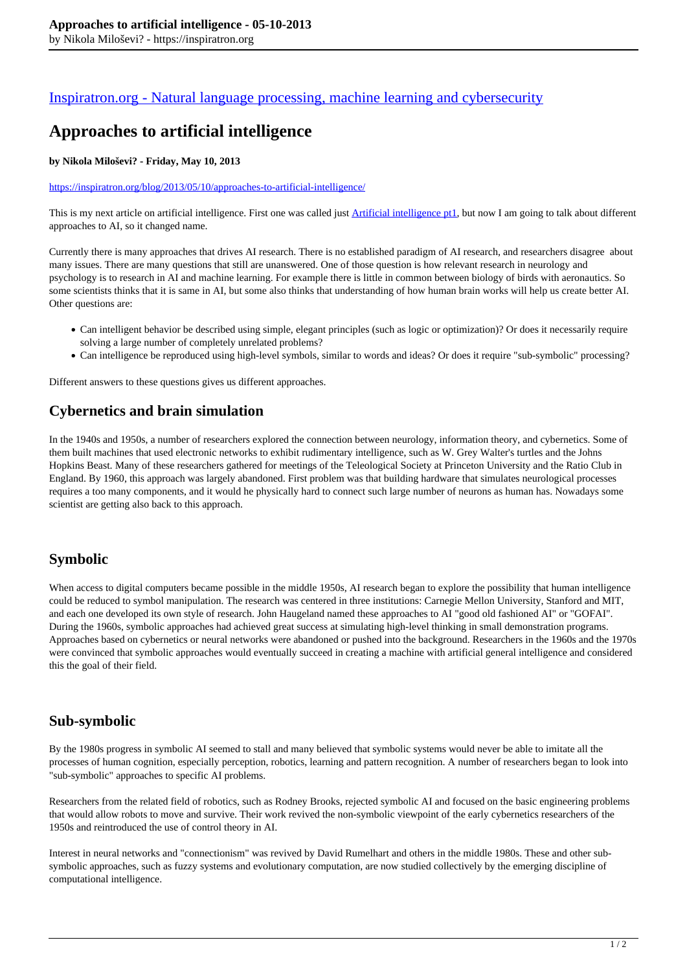#### [Inspiratron.org - Natural language processing, machine learning and cybersecurity](https://inspiratron.org)

# **Approaches to artificial intelligence**

#### **by Nikola Miloševi? - Friday, May 10, 2013**

#### https://inspiratron.org/blog/2013/05/10/approaches-to-artificial-intelligence/

This is my next article on artificial intelligence. First one was called just Artificial intelligence pt1, but now I am going to talk about different approaches to AI, so it changed name.

Currently there is many approaches that drives AI research. There is no established paradigm of AI research, and researchers disagree about many issues. There are many questions that still are unanswered. One of those question is how relevant research in neurology and psychology is to research in AI and machine learning. For example there is little in common between biology of birds with aeronautics. So some scientists thinks that it is same in AI, but some also thinks that understanding of how human brain works will help us create better AI. Other questions are:

- Can intelligent behavior be described using simple, elegant principles (such as logic or optimization)? Or does it necessarily require solving a large number of completely unrelated problems?
- Can intelligence be reproduced using high-level symbols, similar to words and ideas? Or does it require "sub-symbolic" processing?

Different answers to these questions gives us different approaches.

### **Cybernetics and brain simulation**

In the 1940s and 1950s, a number of researchers explored the connection between neurology, information theory, and cybernetics. Some of them built machines that used electronic networks to exhibit rudimentary intelligence, such as W. Grey Walter's turtles and the Johns Hopkins Beast. Many of these researchers gathered for meetings of the Teleological Society at Princeton University and the Ratio Club in England. By 1960, this approach was largely abandoned. First problem was that building hardware that simulates neurological processes requires a too many components, and it would he physically hard to connect such large number of neurons as human has. Nowadays some scientist are getting also back to this approach.

#### **Symbolic**

When access to digital computers became possible in the middle 1950s, AI research began to explore the possibility that human intelligence could be reduced to symbol manipulation. The research was centered in three institutions: Carnegie Mellon University, Stanford and MIT, and each one developed its own style of research. John Haugeland named these approaches to AI "good old fashioned AI" or "GOFAI". During the 1960s, symbolic approaches had achieved great success at simulating high-level thinking in small demonstration programs. Approaches based on cybernetics or neural networks were abandoned or pushed into the background. Researchers in the 1960s and the 1970s were convinced that symbolic approaches would eventually succeed in creating a machine with artificial general intelligence and considered this the goal of their field.

#### **Sub-symbolic**

By the 1980s progress in symbolic AI seemed to stall and many believed that symbolic systems would never be able to imitate all the processes of human cognition, especially perception, robotics, learning and pattern recognition. A number of researchers began to look into "sub-symbolic" approaches to specific AI problems.

Researchers from the related field of robotics, such as Rodney Brooks, rejected symbolic AI and focused on the basic engineering problems that would allow robots to move and survive. Their work revived the non-symbolic viewpoint of the early cybernetics researchers of the 1950s and reintroduced the use of control theory in AI.

Interest in neural networks and "connectionism" was revived by David Rumelhart and others in the middle 1980s. These and other subsymbolic approaches, such as fuzzy systems and evolutionary computation, are now studied collectively by the emerging discipline of computational intelligence.